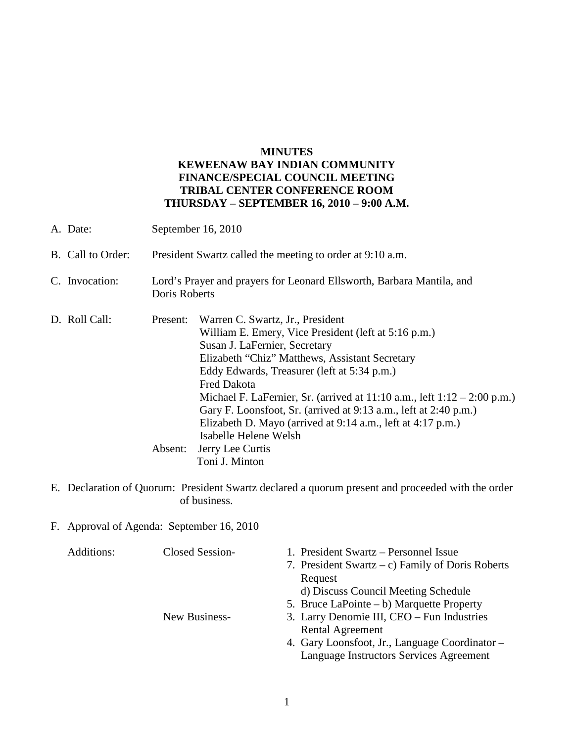## **MINUTES KEWEENAW BAY INDIAN COMMUNITY FINANCE/SPECIAL COUNCIL MEETING TRIBAL CENTER CONFERENCE ROOM THURSDAY – SEPTEMBER 16, 2010 – 9:00 A.M.**

| A. Date:          | September 16, 2010                                                                     |                                                                                                                                                                                                                                                                                                                                                                                                                                                                                            |  |
|-------------------|----------------------------------------------------------------------------------------|--------------------------------------------------------------------------------------------------------------------------------------------------------------------------------------------------------------------------------------------------------------------------------------------------------------------------------------------------------------------------------------------------------------------------------------------------------------------------------------------|--|
| B. Call to Order: | President Swartz called the meeting to order at 9:10 a.m.                              |                                                                                                                                                                                                                                                                                                                                                                                                                                                                                            |  |
| C. Invocation:    | Lord's Prayer and prayers for Leonard Ellsworth, Barbara Mantila, and<br>Doris Roberts |                                                                                                                                                                                                                                                                                                                                                                                                                                                                                            |  |
| D. Roll Call:     | Present:                                                                               | Warren C. Swartz, Jr., President<br>William E. Emery, Vice President (left at 5:16 p.m.)<br>Susan J. LaFernier, Secretary<br>Elizabeth "Chiz" Matthews, Assistant Secretary<br>Eddy Edwards, Treasurer (left at 5:34 p.m.)<br><b>Fred Dakota</b><br>Michael F. LaFernier, Sr. (arrived at $11:10$ a.m., left $1:12-2:00$ p.m.)<br>Gary F. Loonsfoot, Sr. (arrived at 9:13 a.m., left at 2:40 p.m.)<br>Elizabeth D. Mayo (arrived at 9:14 a.m., left at 4:17 p.m.)<br>Isabelle Helene Welsh |  |
|                   | Absent:                                                                                | Jerry Lee Curtis<br>Toni J. Minton                                                                                                                                                                                                                                                                                                                                                                                                                                                         |  |

- E. Declaration of Quorum: President Swartz declared a quorum present and proceeded with the order of business.
- F. Approval of Agenda: September 16, 2010

| Additions: | Closed Session- | 1. President Swartz – Personnel Issue            |
|------------|-----------------|--------------------------------------------------|
|            |                 | 7. President Swartz – c) Family of Doris Roberts |
|            |                 | Request                                          |
|            |                 | d) Discuss Council Meeting Schedule              |
|            |                 | 5. Bruce LaPointe $- b$ ) Marquette Property     |
|            | New Business-   | 3. Larry Denomie III, CEO – Fun Industries       |
|            |                 | <b>Rental Agreement</b>                          |
|            |                 | 4. Gary Loonsfoot, Jr., Language Coordinator –   |
|            |                 | Language Instructors Services Agreement          |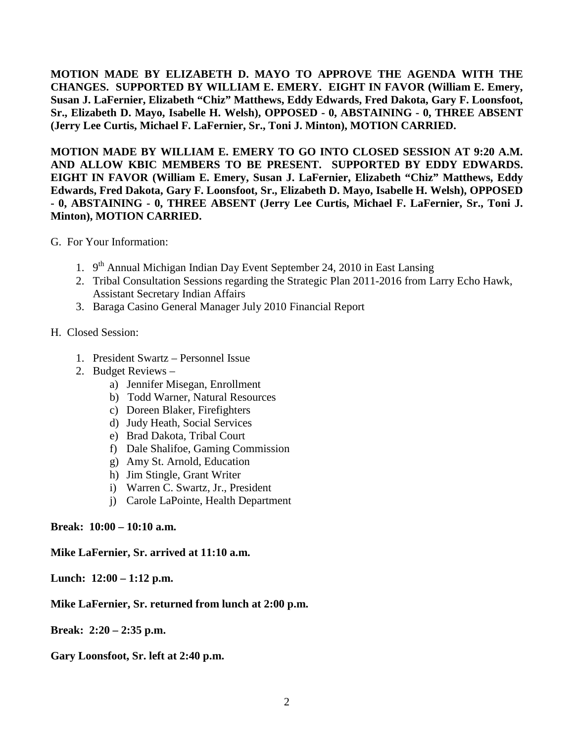**MOTION MADE BY ELIZABETH D. MAYO TO APPROVE THE AGENDA WITH THE CHANGES. SUPPORTED BY WILLIAM E. EMERY. EIGHT IN FAVOR (William E. Emery, Susan J. LaFernier, Elizabeth "Chiz" Matthews, Eddy Edwards, Fred Dakota, Gary F. Loonsfoot, Sr., Elizabeth D. Mayo, Isabelle H. Welsh), OPPOSED - 0, ABSTAINING - 0, THREE ABSENT (Jerry Lee Curtis, Michael F. LaFernier, Sr., Toni J. Minton), MOTION CARRIED.**

**MOTION MADE BY WILLIAM E. EMERY TO GO INTO CLOSED SESSION AT 9:20 A.M. AND ALLOW KBIC MEMBERS TO BE PRESENT. SUPPORTED BY EDDY EDWARDS. EIGHT IN FAVOR (William E. Emery, Susan J. LaFernier, Elizabeth "Chiz" Matthews, Eddy Edwards, Fred Dakota, Gary F. Loonsfoot, Sr., Elizabeth D. Mayo, Isabelle H. Welsh), OPPOSED - 0, ABSTAINING - 0, THREE ABSENT (Jerry Lee Curtis, Michael F. LaFernier, Sr., Toni J. Minton), MOTION CARRIED.**

- G. For Your Information:
	- 1.  $9<sup>th</sup>$  Annual Michigan Indian Day Event September 24, 2010 in East Lansing
	- 2. Tribal Consultation Sessions regarding the Strategic Plan 2011-2016 from Larry Echo Hawk, Assistant Secretary Indian Affairs
	- 3. Baraga Casino General Manager July 2010 Financial Report
- H. Closed Session:
	- 1. President Swartz Personnel Issue
	- 2. Budget Reviews
		- a) Jennifer Misegan, Enrollment
		- b) Todd Warner, Natural Resources
		- c) Doreen Blaker, Firefighters
		- d) Judy Heath, Social Services
		- e) Brad Dakota, Tribal Court
		- f) Dale Shalifoe, Gaming Commission
		- g) Amy St. Arnold, Education
		- h) Jim Stingle, Grant Writer
		- i) Warren C. Swartz, Jr., President
		- j) Carole LaPointe, Health Department

## **Break: 10:00 – 10:10 a.m.**

## **Mike LaFernier, Sr. arrived at 11:10 a.m.**

**Lunch: 12:00 – 1:12 p.m.** 

## **Mike LaFernier, Sr. returned from lunch at 2:00 p.m.**

**Break: 2:20 – 2:35 p.m.** 

**Gary Loonsfoot, Sr. left at 2:40 p.m.**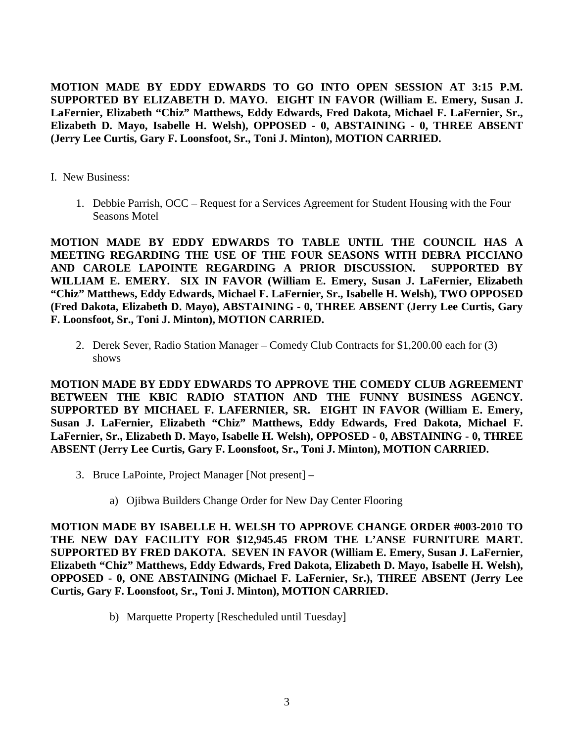**MOTION MADE BY EDDY EDWARDS TO GO INTO OPEN SESSION AT 3:15 P.M. SUPPORTED BY ELIZABETH D. MAYO. EIGHT IN FAVOR (William E. Emery, Susan J. LaFernier, Elizabeth "Chiz" Matthews, Eddy Edwards, Fred Dakota, Michael F. LaFernier, Sr., Elizabeth D. Mayo, Isabelle H. Welsh), OPPOSED - 0, ABSTAINING - 0, THREE ABSENT (Jerry Lee Curtis, Gary F. Loonsfoot, Sr., Toni J. Minton), MOTION CARRIED.**

I. New Business:

1. Debbie Parrish, OCC – Request for a Services Agreement for Student Housing with the Four Seasons Motel

**MOTION MADE BY EDDY EDWARDS TO TABLE UNTIL THE COUNCIL HAS A MEETING REGARDING THE USE OF THE FOUR SEASONS WITH DEBRA PICCIANO AND CAROLE LAPOINTE REGARDING A PRIOR DISCUSSION. SUPPORTED BY WILLIAM E. EMERY. SIX IN FAVOR (William E. Emery, Susan J. LaFernier, Elizabeth "Chiz" Matthews, Eddy Edwards, Michael F. LaFernier, Sr., Isabelle H. Welsh), TWO OPPOSED (Fred Dakota, Elizabeth D. Mayo), ABSTAINING - 0, THREE ABSENT (Jerry Lee Curtis, Gary F. Loonsfoot, Sr., Toni J. Minton), MOTION CARRIED.** 

2. Derek Sever, Radio Station Manager – Comedy Club Contracts for \$1,200.00 each for (3) shows

**MOTION MADE BY EDDY EDWARDS TO APPROVE THE COMEDY CLUB AGREEMENT BETWEEN THE KBIC RADIO STATION AND THE FUNNY BUSINESS AGENCY. SUPPORTED BY MICHAEL F. LAFERNIER, SR. EIGHT IN FAVOR (William E. Emery, Susan J. LaFernier, Elizabeth "Chiz" Matthews, Eddy Edwards, Fred Dakota, Michael F. LaFernier, Sr., Elizabeth D. Mayo, Isabelle H. Welsh), OPPOSED - 0, ABSTAINING - 0, THREE ABSENT (Jerry Lee Curtis, Gary F. Loonsfoot, Sr., Toni J. Minton), MOTION CARRIED.** 

- 3. Bruce LaPointe, Project Manager [Not present]
	- a) Ojibwa Builders Change Order for New Day Center Flooring

**MOTION MADE BY ISABELLE H. WELSH TO APPROVE CHANGE ORDER #003-2010 TO THE NEW DAY FACILITY FOR \$12,945.45 FROM THE L'ANSE FURNITURE MART. SUPPORTED BY FRED DAKOTA. SEVEN IN FAVOR (William E. Emery, Susan J. LaFernier, Elizabeth "Chiz" Matthews, Eddy Edwards, Fred Dakota, Elizabeth D. Mayo, Isabelle H. Welsh), OPPOSED - 0, ONE ABSTAINING (Michael F. LaFernier, Sr.), THREE ABSENT (Jerry Lee Curtis, Gary F. Loonsfoot, Sr., Toni J. Minton), MOTION CARRIED.**

b) Marquette Property [Rescheduled until Tuesday]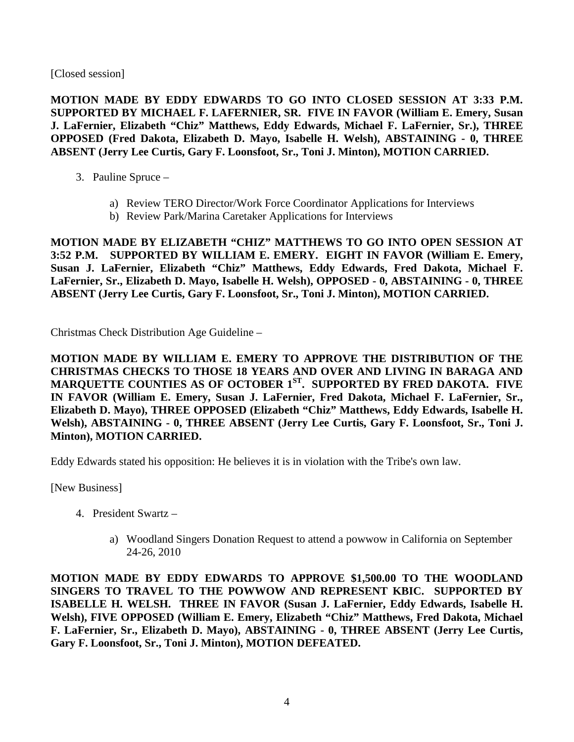[Closed session]

**MOTION MADE BY EDDY EDWARDS TO GO INTO CLOSED SESSION AT 3:33 P.M. SUPPORTED BY MICHAEL F. LAFERNIER, SR. FIVE IN FAVOR (William E. Emery, Susan J. LaFernier, Elizabeth "Chiz" Matthews, Eddy Edwards, Michael F. LaFernier, Sr.), THREE OPPOSED (Fred Dakota, Elizabeth D. Mayo, Isabelle H. Welsh), ABSTAINING - 0, THREE ABSENT (Jerry Lee Curtis, Gary F. Loonsfoot, Sr., Toni J. Minton), MOTION CARRIED.** 

- 3. Pauline Spruce
	- a) Review TERO Director/Work Force Coordinator Applications for Interviews
	- b) Review Park/Marina Caretaker Applications for Interviews

**MOTION MADE BY ELIZABETH "CHIZ" MATTHEWS TO GO INTO OPEN SESSION AT 3:52 P.M. SUPPORTED BY WILLIAM E. EMERY. EIGHT IN FAVOR (William E. Emery, Susan J. LaFernier, Elizabeth "Chiz" Matthews, Eddy Edwards, Fred Dakota, Michael F. LaFernier, Sr., Elizabeth D. Mayo, Isabelle H. Welsh), OPPOSED - 0, ABSTAINING - 0, THREE ABSENT (Jerry Lee Curtis, Gary F. Loonsfoot, Sr., Toni J. Minton), MOTION CARRIED.**

Christmas Check Distribution Age Guideline –

**MOTION MADE BY WILLIAM E. EMERY TO APPROVE THE DISTRIBUTION OF THE CHRISTMAS CHECKS TO THOSE 18 YEARS AND OVER AND LIVING IN BARAGA AND**  MARQUETTE COUNTIES AS OF OCTOBER 1<sup>ST</sup>. SUPPORTED BY FRED DAKOTA. FIVE **IN FAVOR (William E. Emery, Susan J. LaFernier, Fred Dakota, Michael F. LaFernier, Sr., Elizabeth D. Mayo), THREE OPPOSED (Elizabeth "Chiz" Matthews, Eddy Edwards, Isabelle H. Welsh), ABSTAINING - 0, THREE ABSENT (Jerry Lee Curtis, Gary F. Loonsfoot, Sr., Toni J. Minton), MOTION CARRIED.**

Eddy Edwards stated his opposition: He believes it is in violation with the Tribe's own law.

[New Business]

- 4. President Swartz
	- a) Woodland Singers Donation Request to attend a powwow in California on September 24-26, 2010

**MOTION MADE BY EDDY EDWARDS TO APPROVE \$1,500.00 TO THE WOODLAND SINGERS TO TRAVEL TO THE POWWOW AND REPRESENT KBIC. SUPPORTED BY ISABELLE H. WELSH. THREE IN FAVOR (Susan J. LaFernier, Eddy Edwards, Isabelle H. Welsh), FIVE OPPOSED (William E. Emery, Elizabeth "Chiz" Matthews, Fred Dakota, Michael F. LaFernier, Sr., Elizabeth D. Mayo), ABSTAINING - 0, THREE ABSENT (Jerry Lee Curtis, Gary F. Loonsfoot, Sr., Toni J. Minton), MOTION DEFEATED.**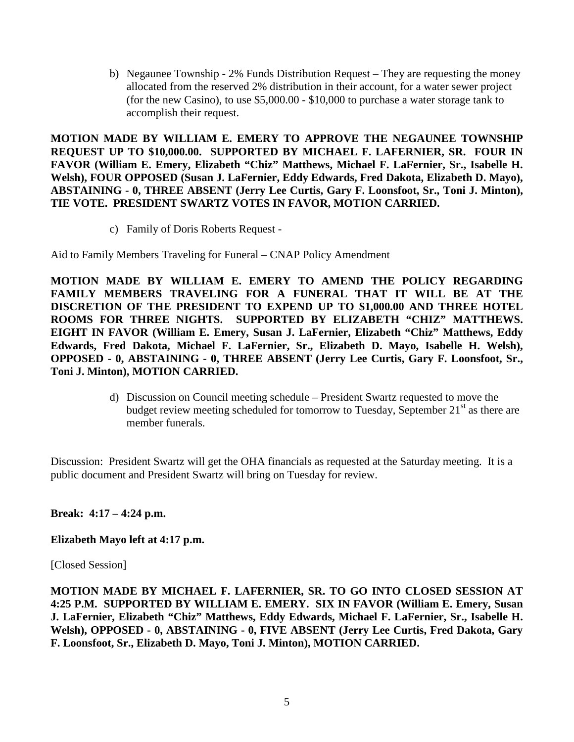b) Negaunee Township - 2% Funds Distribution Request – They are requesting the money allocated from the reserved 2% distribution in their account, for a water sewer project (for the new Casino), to use \$5,000.00 - \$10,000 to purchase a water storage tank to accomplish their request.

**MOTION MADE BY WILLIAM E. EMERY TO APPROVE THE NEGAUNEE TOWNSHIP REQUEST UP TO \$10,000.00. SUPPORTED BY MICHAEL F. LAFERNIER, SR. FOUR IN FAVOR (William E. Emery, Elizabeth "Chiz" Matthews, Michael F. LaFernier, Sr., Isabelle H. Welsh), FOUR OPPOSED (Susan J. LaFernier, Eddy Edwards, Fred Dakota, Elizabeth D. Mayo), ABSTAINING - 0, THREE ABSENT (Jerry Lee Curtis, Gary F. Loonsfoot, Sr., Toni J. Minton), TIE VOTE. PRESIDENT SWARTZ VOTES IN FAVOR, MOTION CARRIED.**

c) Family of Doris Roberts Request -

Aid to Family Members Traveling for Funeral – CNAP Policy Amendment

**MOTION MADE BY WILLIAM E. EMERY TO AMEND THE POLICY REGARDING FAMILY MEMBERS TRAVELING FOR A FUNERAL THAT IT WILL BE AT THE DISCRETION OF THE PRESIDENT TO EXPEND UP TO \$1,000.00 AND THREE HOTEL ROOMS FOR THREE NIGHTS. SUPPORTED BY ELIZABETH "CHIZ" MATTHEWS. EIGHT IN FAVOR (William E. Emery, Susan J. LaFernier, Elizabeth "Chiz" Matthews, Eddy Edwards, Fred Dakota, Michael F. LaFernier, Sr., Elizabeth D. Mayo, Isabelle H. Welsh), OPPOSED - 0, ABSTAINING - 0, THREE ABSENT (Jerry Lee Curtis, Gary F. Loonsfoot, Sr., Toni J. Minton), MOTION CARRIED.**

> d) Discussion on Council meeting schedule – President Swartz requested to move the budget review meeting scheduled for tomorrow to Tuesday, September  $21<sup>st</sup>$  as there are member funerals.

Discussion: President Swartz will get the OHA financials as requested at the Saturday meeting. It is a public document and President Swartz will bring on Tuesday for review.

# **Break: 4:17 – 4:24 p.m.**

## **Elizabeth Mayo left at 4:17 p.m.**

[Closed Session]

**MOTION MADE BY MICHAEL F. LAFERNIER, SR. TO GO INTO CLOSED SESSION AT 4:25 P.M. SUPPORTED BY WILLIAM E. EMERY. SIX IN FAVOR (William E. Emery, Susan J. LaFernier, Elizabeth "Chiz" Matthews, Eddy Edwards, Michael F. LaFernier, Sr., Isabelle H. Welsh), OPPOSED - 0, ABSTAINING - 0, FIVE ABSENT (Jerry Lee Curtis, Fred Dakota, Gary F. Loonsfoot, Sr., Elizabeth D. Mayo, Toni J. Minton), MOTION CARRIED.**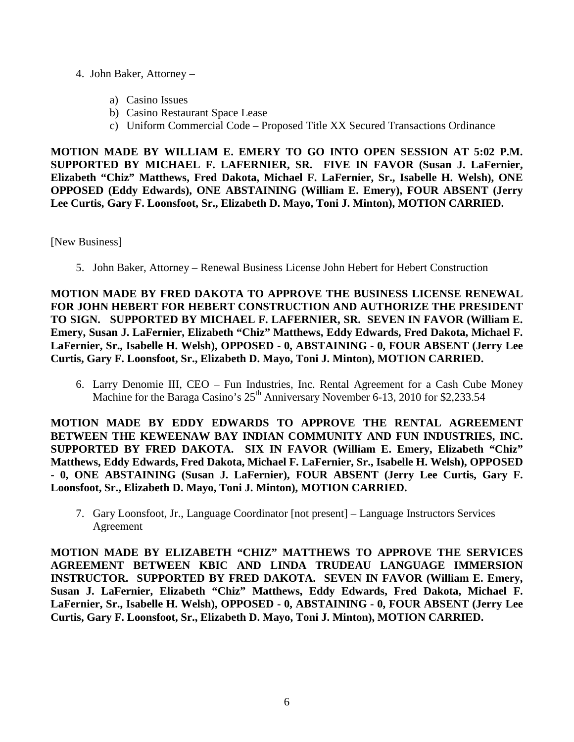- 4. John Baker, Attorney
	- a) Casino Issues
	- b) Casino Restaurant Space Lease
	- c) Uniform Commercial Code Proposed Title XX Secured Transactions Ordinance

**MOTION MADE BY WILLIAM E. EMERY TO GO INTO OPEN SESSION AT 5:02 P.M. SUPPORTED BY MICHAEL F. LAFERNIER, SR. FIVE IN FAVOR (Susan J. LaFernier, Elizabeth "Chiz" Matthews, Fred Dakota, Michael F. LaFernier, Sr., Isabelle H. Welsh), ONE OPPOSED (Eddy Edwards), ONE ABSTAINING (William E. Emery), FOUR ABSENT (Jerry Lee Curtis, Gary F. Loonsfoot, Sr., Elizabeth D. Mayo, Toni J. Minton), MOTION CARRIED.** 

[New Business]

5. John Baker, Attorney – Renewal Business License John Hebert for Hebert Construction

**MOTION MADE BY FRED DAKOTA TO APPROVE THE BUSINESS LICENSE RENEWAL FOR JOHN HEBERT FOR HEBERT CONSTRUCTION AND AUTHORIZE THE PRESIDENT TO SIGN. SUPPORTED BY MICHAEL F. LAFERNIER, SR. SEVEN IN FAVOR (William E. Emery, Susan J. LaFernier, Elizabeth "Chiz" Matthews, Eddy Edwards, Fred Dakota, Michael F. LaFernier, Sr., Isabelle H. Welsh), OPPOSED - 0, ABSTAINING - 0, FOUR ABSENT (Jerry Lee Curtis, Gary F. Loonsfoot, Sr., Elizabeth D. Mayo, Toni J. Minton), MOTION CARRIED.**

6. Larry Denomie III, CEO – Fun Industries, Inc. Rental Agreement for a Cash Cube Money Machine for the Baraga Casino's 25<sup>th</sup> Anniversary November 6-13, 2010 for \$2,233.54

**MOTION MADE BY EDDY EDWARDS TO APPROVE THE RENTAL AGREEMENT BETWEEN THE KEWEENAW BAY INDIAN COMMUNITY AND FUN INDUSTRIES, INC. SUPPORTED BY FRED DAKOTA. SIX IN FAVOR (William E. Emery, Elizabeth "Chiz" Matthews, Eddy Edwards, Fred Dakota, Michael F. LaFernier, Sr., Isabelle H. Welsh), OPPOSED - 0, ONE ABSTAINING (Susan J. LaFernier), FOUR ABSENT (Jerry Lee Curtis, Gary F. Loonsfoot, Sr., Elizabeth D. Mayo, Toni J. Minton), MOTION CARRIED.** 

7. Gary Loonsfoot, Jr., Language Coordinator [not present] – Language Instructors Services Agreement

**MOTION MADE BY ELIZABETH "CHIZ" MATTHEWS TO APPROVE THE SERVICES AGREEMENT BETWEEN KBIC AND LINDA TRUDEAU LANGUAGE IMMERSION INSTRUCTOR. SUPPORTED BY FRED DAKOTA. SEVEN IN FAVOR (William E. Emery, Susan J. LaFernier, Elizabeth "Chiz" Matthews, Eddy Edwards, Fred Dakota, Michael F. LaFernier, Sr., Isabelle H. Welsh), OPPOSED - 0, ABSTAINING - 0, FOUR ABSENT (Jerry Lee Curtis, Gary F. Loonsfoot, Sr., Elizabeth D. Mayo, Toni J. Minton), MOTION CARRIED.**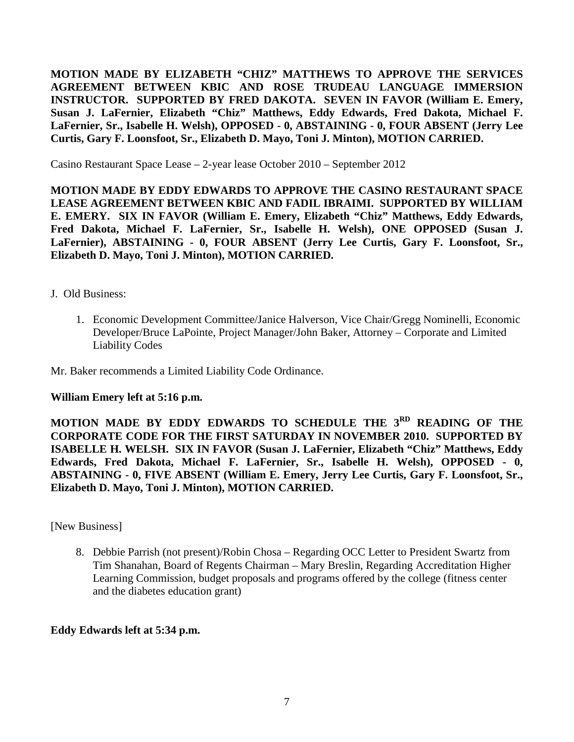**MOTION MADE BY ELIZABETH "CHIZ" MATTHEWS TO APPROVE THE SERVICES AGREEMENT BETWEEN KBIC AND ROSE TRUDEAU LANGUAGE IMMERSION INSTRUCTOR. SUPPORTED BY FRED DAKOTA. SEVEN IN FAVOR (William E. Emery, Susan J. LaFernier, Elizabeth "Chiz" Matthews, Eddy Edwards, Fred Dakota, Michael F. LaFernier, Sr., Isabelle H. Welsh), OPPOSED - 0, ABSTAINING - 0, FOUR ABSENT (Jerry Lee Curtis, Gary F. Loonsfoot, Sr., Elizabeth D. Mayo, Toni J. Minton), MOTION CARRIED.** 

Casino Restaurant Space Lease – 2-year lease October 2010 – September 2012

**MOTION MADE BY EDDY EDWARDS TO APPROVE THE CASINO RESTAURANT SPACE LEASE AGREEMENT BETWEEN KBIC AND FADIL IBRAIMI. SUPPORTED BY WILLIAM E. EMERY. SIX IN FAVOR (William E. Emery, Elizabeth "Chiz" Matthews, Eddy Edwards, Fred Dakota, Michael F. LaFernier, Sr., Isabelle H. Welsh), ONE OPPOSED (Susan J. LaFernier), ABSTAINING - 0, FOUR ABSENT (Jerry Lee Curtis, Gary F. Loonsfoot, Sr., Elizabeth D. Mayo, Toni J. Minton), MOTION CARRIED.** 

- J. Old Business:
	- 1. Economic Development Committee/Janice Halverson, Vice Chair/Gregg Nominelli, Economic Developer/Bruce LaPointe, Project Manager/John Baker, Attorney – Corporate and Limited Liability Codes

Mr. Baker recommends a Limited Liability Code Ordinance.

#### **William Emery left at 5:16 p.m.**

**MOTION MADE BY EDDY EDWARDS TO SCHEDULE THE 3RD READING OF THE CORPORATE CODE FOR THE FIRST SATURDAY IN NOVEMBER 2010. SUPPORTED BY ISABELLE H. WELSH. SIX IN FAVOR (Susan J. LaFernier, Elizabeth "Chiz" Matthews, Eddy Edwards, Fred Dakota, Michael F. LaFernier, Sr., Isabelle H. Welsh), OPPOSED - 0, ABSTAINING - 0, FIVE ABSENT (William E. Emery, Jerry Lee Curtis, Gary F. Loonsfoot, Sr., Elizabeth D. Mayo, Toni J. Minton), MOTION CARRIED.** 

[New Business]

8. Debbie Parrish (not present)/Robin Chosa – Regarding OCC Letter to President Swartz from Tim Shanahan, Board of Regents Chairman – Mary Breslin, Regarding Accreditation Higher Learning Commission, budget proposals and programs offered by the college (fitness center and the diabetes education grant)

## **Eddy Edwards left at 5:34 p.m.**